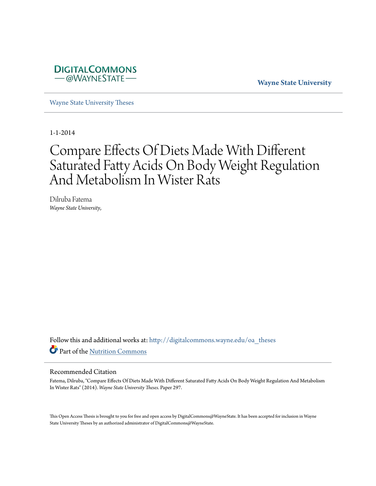

**Wayne State University**

[Wayne State University Theses](http://digitalcommons.wayne.edu/oa_theses?utm_source=digitalcommons.wayne.edu%2Foa_theses%2F297&utm_medium=PDF&utm_campaign=PDFCoverPages)

1-1-2014

# Compare Effects Of Diets Made With Different Saturated Fatty Acids On Body Weight Regulation And Metabolism In Wister Rats

Dilruba Fatema *Wayne State University*,

Follow this and additional works at: [http://digitalcommons.wayne.edu/oa\\_theses](http://digitalcommons.wayne.edu/oa_theses?utm_source=digitalcommons.wayne.edu%2Foa_theses%2F297&utm_medium=PDF&utm_campaign=PDFCoverPages) Part of the [Nutrition Commons](http://network.bepress.com/hgg/discipline/95?utm_source=digitalcommons.wayne.edu%2Foa_theses%2F297&utm_medium=PDF&utm_campaign=PDFCoverPages)

#### Recommended Citation

Fatema, Dilruba, "Compare Effects Of Diets Made With Different Saturated Fatty Acids On Body Weight Regulation And Metabolism In Wister Rats" (2014). *Wayne State University Theses.* Paper 297.

This Open Access Thesis is brought to you for free and open access by DigitalCommons@WayneState. It has been accepted for inclusion in Wayne State University Theses by an authorized administrator of DigitalCommons@WayneState.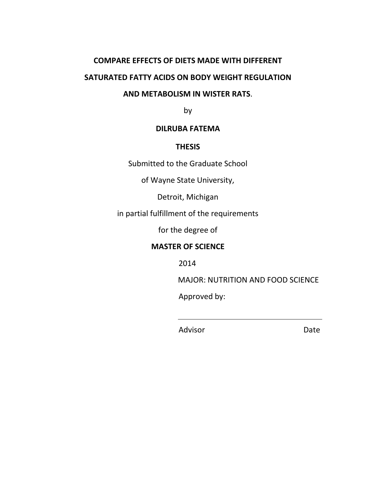# **COMPARE EFFECTS OF DIETS MADE WITH DIFFERENT SATURATED FATTY ACIDS ON BODY WEIGHT REGULATION**

## **AND METABOLISM IN WISTER RATS**.

by

## **DILRUBA FATEMA**

## **THESIS**

Submitted to the Graduate School

of Wayne State University,

Detroit, Michigan

in partial fulfillment of the requirements

for the degree of

## **MASTER OF SCIENCE**

2014

MAJOR: NUTRITION AND FOOD SCIENCE

Approved by:

Advisor Date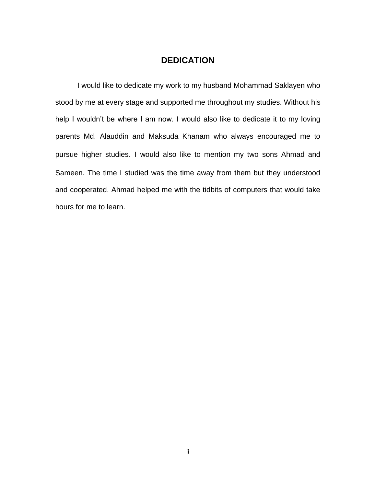### **DEDICATION**

I would like to dedicate my work to my husband Mohammad Saklayen who stood by me at every stage and supported me throughout my studies. Without his help I wouldn't be where I am now. I would also like to dedicate it to my loving parents Md. Alauddin and Maksuda Khanam who always encouraged me to pursue higher studies. I would also like to mention my two sons Ahmad and Sameen. The time I studied was the time away from them but they understood and cooperated. Ahmad helped me with the tidbits of computers that would take hours for me to learn.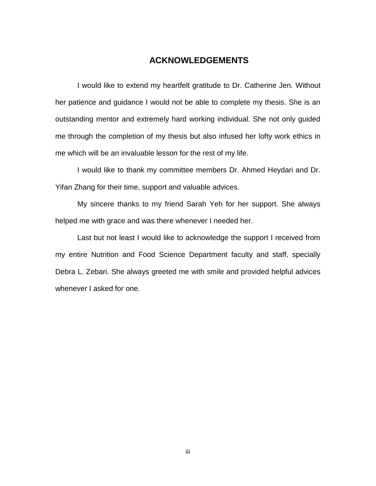#### **ACKNOWLEDGEMENTS**

I would like to extend my heartfelt gratitude to Dr. Catherine Jen. Without her patience and guidance I would not be able to complete my thesis. She is an outstanding mentor and extremely hard working individual. She not only guided me through the completion of my thesis but also infused her lofty work ethics in me which will be an invaluable lesson for the rest of my life.

I would like to thank my committee members Dr. Ahmed Heydari and Dr. Yifan Zhang for their time, support and valuable advices.

My sincere thanks to my friend Sarah Yeh for her support. She always helped me with grace and was there whenever I needed her.

Last but not least I would like to acknowledge the support I received from my entire Nutrition and Food Science Department faculty and staff, specially Debra L. Zebari. She always greeted me with smile and provided helpful advices whenever I asked for one.

iii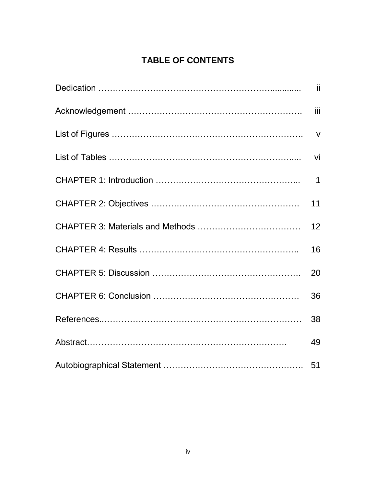## **TABLE OF CONTENTS**

| 11 |
|----|
| 12 |
| 16 |
| 20 |
| 36 |
| 38 |
| 49 |
|    |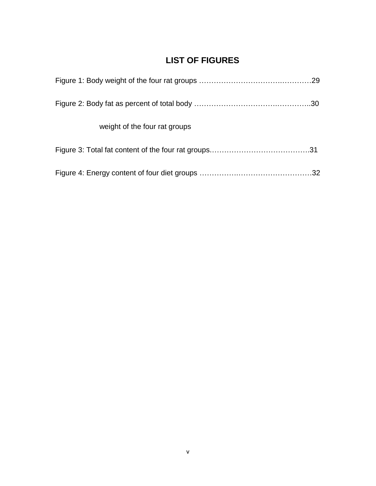## **LIST OF FIGURES**

| weight of the four rat groups |  |
|-------------------------------|--|
|                               |  |
|                               |  |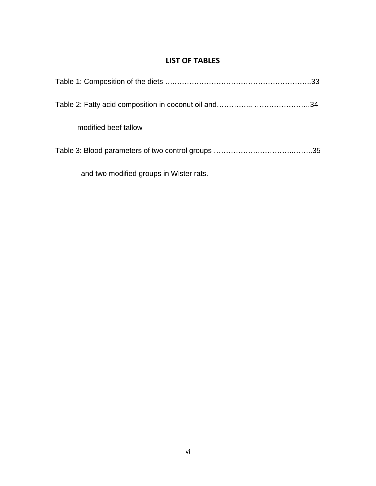## **LIST OF TABLES**

| modified beef tallow                    |  |
|-----------------------------------------|--|
|                                         |  |
| and two modified groups in Wister rats. |  |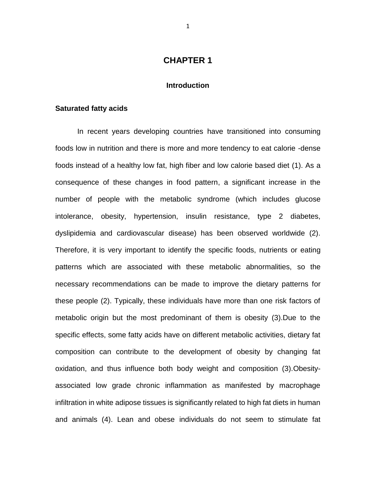#### **CHAPTER 1**

#### **Introduction**

#### **Saturated fatty acids**

In recent years developing countries have transitioned into consuming foods low in nutrition and there is more and more tendency to eat calorie -dense foods instead of a healthy low fat, high fiber and low calorie based diet (1). As a consequence of these changes in food pattern, a significant increase in the number of people with the metabolic syndrome (which includes glucose intolerance, obesity, hypertension, insulin resistance, type 2 diabetes, dyslipidemia and cardiovascular disease) has been observed worldwide (2). Therefore, it is very important to identify the specific foods, nutrients or eating patterns which are associated with these metabolic abnormalities, so the necessary recommendations can be made to improve the dietary patterns for these people (2). Typically, these individuals have more than one risk factors of metabolic origin but the most predominant of them is obesity (3).Due to the specific effects, some fatty acids have on different metabolic activities, dietary fat composition can contribute to the development of obesity by changing fat oxidation, and thus influence both body weight and composition (3).Obesityassociated low grade chronic inflammation as manifested by macrophage infiltration in white adipose tissues is significantly related to high fat diets in human and animals (4). Lean and obese individuals do not seem to stimulate fat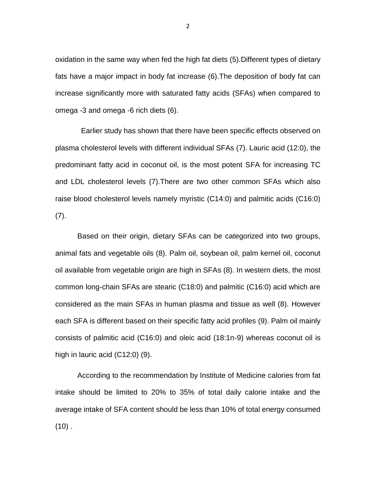oxidation in the same way when fed the high fat diets (5).Different types of dietary fats have a major impact in body fat increase (6).The deposition of body fat can increase significantly more with saturated fatty acids (SFAs) when compared to omega -3 and omega -6 rich diets (6).

Earlier study has shown that there have been specific effects observed on plasma cholesterol levels with different individual SFAs (7). Lauric acid (12:0), the predominant fatty acid in coconut oil, is the most potent SFA for increasing TC and LDL cholesterol levels (7).There are two other common SFAs which also raise blood cholesterol levels namely myristic (C14:0) and palmitic acids (C16:0) (7).

Based on their origin, dietary SFAs can be categorized into two groups, animal fats and vegetable oils (8). Palm oil, soybean oil, palm kernel oil, coconut oil available from vegetable origin are high in SFAs (8). In western diets, the most common long-chain SFAs are stearic (C18:0) and palmitic (C16:0) acid which are considered as the main SFAs in human plasma and tissue as well (8). However each SFA is different based on their specific fatty acid profiles (9). Palm oil mainly consists of palmitic acid (C16:0) and oleic acid (18:1n-9) whereas coconut oil is high in lauric acid (C12:0) (9).

According to the recommendation by Institute of Medicine calories from fat intake should be limited to 20% to 35% of total daily calorie intake and the average intake of SFA content should be less than 10% of total energy consumed  $(10)$  .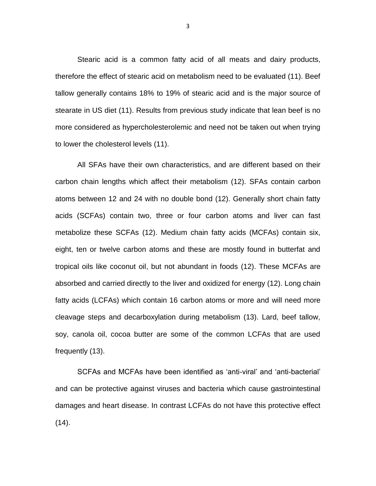Stearic acid is a common fatty acid of all meats and dairy products, therefore the effect of stearic acid on metabolism need to be evaluated (11). Beef tallow generally contains 18% to 19% of stearic acid and is the major source of stearate in US diet (11). Results from previous study indicate that lean beef is no more considered as hypercholesterolemic and need not be taken out when trying to lower the cholesterol levels (11).

All SFAs have their own characteristics, and are different based on their carbon chain lengths which affect their metabolism (12). SFAs contain carbon atoms between 12 and 24 with no double bond (12). Generally short chain fatty acids (SCFAs) contain two, three or four carbon atoms and liver can fast metabolize these SCFAs (12). Medium chain fatty acids (MCFAs) contain six, eight, ten or twelve carbon atoms and these are mostly found in butterfat and tropical oils like coconut oil, but not abundant in foods (12). These MCFAs are absorbed and carried directly to the liver and oxidized for energy (12). Long chain fatty acids (LCFAs) which contain 16 carbon atoms or more and will need more cleavage steps and decarboxylation during metabolism (13). Lard, beef tallow, soy, canola oil, cocoa butter are some of the common LCFAs that are used frequently (13).

SCFAs and MCFAs have been identified as 'anti-viral' and 'anti-bacterial' and can be protective against viruses and bacteria which cause gastrointestinal damages and heart disease. In contrast LCFAs do not have this protective effect (14).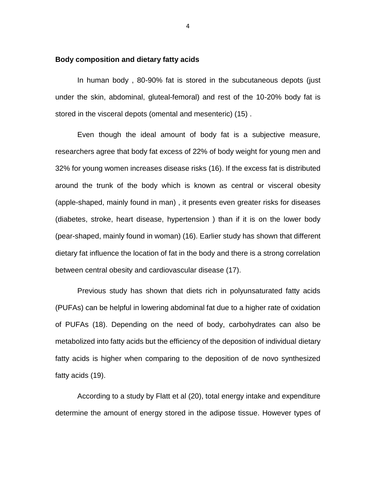#### **Body composition and dietary fatty acids**

In human body , 80-90% fat is stored in the subcutaneous depots (just under the skin, abdominal, gluteal-femoral) and rest of the 10-20% body fat is stored in the visceral depots (omental and mesenteric) (15) .

Even though the ideal amount of body fat is a subjective measure, researchers agree that body fat excess of 22% of body weight for young men and 32% for young women increases disease risks (16). If the excess fat is distributed around the trunk of the body which is known as central or visceral obesity (apple-shaped, mainly found in man) , it presents even greater risks for diseases (diabetes, stroke, heart disease, hypertension ) than if it is on the lower body (pear-shaped, mainly found in woman) (16). Earlier study has shown that different dietary fat influence the location of fat in the body and there is a strong correlation between central obesity and cardiovascular disease (17).

Previous study has shown that diets rich in polyunsaturated fatty acids (PUFAs) can be helpful in lowering abdominal fat due to a higher rate of oxidation of PUFAs (18). Depending on the need of body, carbohydrates can also be metabolized into fatty acids but the efficiency of the deposition of individual dietary fatty acids is higher when comparing to the deposition of de novo synthesized fatty acids (19).

According to a study by Flatt et al (20), total energy intake and expenditure determine the amount of energy stored in the adipose tissue. However types of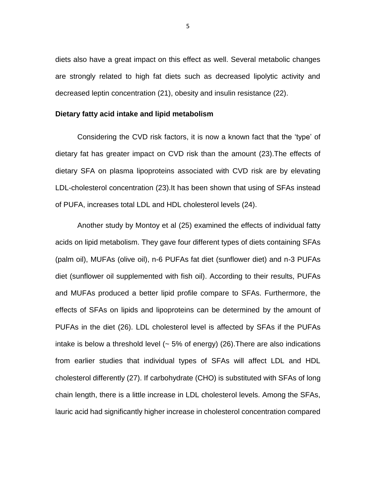diets also have a great impact on this effect as well. Several metabolic changes are strongly related to high fat diets such as decreased lipolytic activity and decreased leptin concentration (21), obesity and insulin resistance (22).

#### **Dietary fatty acid intake and lipid metabolism**

Considering the CVD risk factors, it is now a known fact that the 'type' of dietary fat has greater impact on CVD risk than the amount (23).The effects of dietary SFA on plasma lipoproteins associated with CVD risk are by elevating LDL-cholesterol concentration (23).It has been shown that using of SFAs instead of PUFA, increases total LDL and HDL cholesterol levels (24).

Another study by Montoy et al (25) examined the effects of individual fatty acids on lipid metabolism. They gave four different types of diets containing SFAs (palm oil), MUFAs (olive oil), n-6 PUFAs fat diet (sunflower diet) and n-3 PUFAs diet (sunflower oil supplemented with fish oil). According to their results, PUFAs and MUFAs produced a better lipid profile compare to SFAs. Furthermore, the effects of SFAs on lipids and lipoproteins can be determined by the amount of PUFAs in the diet (26). LDL cholesterol level is affected by SFAs if the PUFAs intake is below a threshold level  $($  - 5% of energy) (26). There are also indications from earlier studies that individual types of SFAs will affect LDL and HDL cholesterol differently (27). If carbohydrate (CHO) is substituted with SFAs of long chain length, there is a little increase in LDL cholesterol levels. Among the SFAs, lauric acid had significantly higher increase in cholesterol concentration compared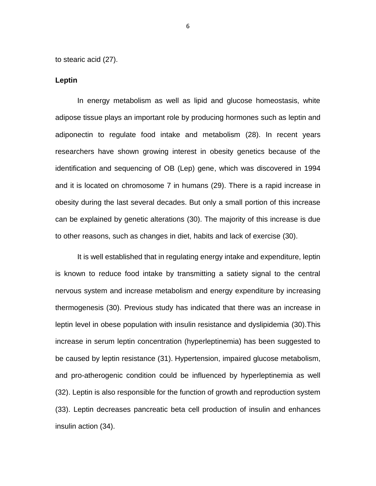to stearic acid (27).

#### **Leptin**

In energy metabolism as well as lipid and glucose homeostasis, white adipose tissue plays an important role by producing hormones such as leptin and adiponectin to regulate food intake and metabolism (28). In recent years researchers have shown growing interest in obesity genetics because of the identification and sequencing of OB (Lep) gene, which was discovered in 1994 and it is located on chromosome 7 in humans (29). There is a rapid increase in obesity during the last several decades. But only a small portion of this increase can be explained by genetic alterations (30). The majority of this increase is due to other reasons, such as changes in diet, habits and lack of exercise (30).

It is well established that in regulating energy intake and expenditure, leptin is known to reduce food intake by transmitting a satiety signal to the central nervous system and increase metabolism and energy expenditure by increasing thermogenesis (30). Previous study has indicated that there was an increase in leptin level in obese population with insulin resistance and dyslipidemia (30).This increase in serum leptin concentration (hyperleptinemia) has been suggested to be caused by leptin resistance (31). Hypertension, impaired glucose metabolism, and pro-atherogenic condition could be influenced by hyperleptinemia as well (32). Leptin is also responsible for the function of growth and reproduction system (33). Leptin decreases pancreatic beta cell production of insulin and enhances insulin action (34).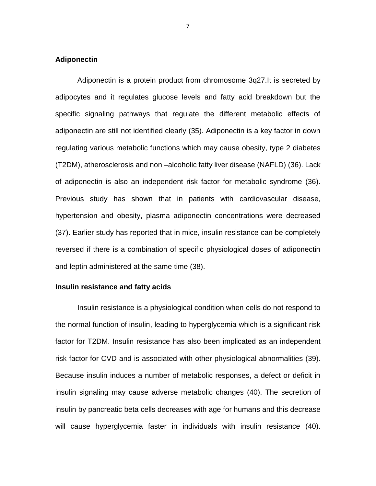#### **Adiponectin**

Adiponectin is a protein product from chromosome 3q27.It is secreted by adipocytes and it regulates glucose levels and fatty acid breakdown but the specific signaling pathways that regulate the different metabolic effects of adiponectin are still not identified clearly (35). Adiponectin is a key factor in down regulating various metabolic functions which may cause obesity, type 2 diabetes (T2DM), atherosclerosis and non –alcoholic fatty liver disease (NAFLD) (36). Lack of adiponectin is also an independent risk factor for metabolic syndrome (36). Previous study has shown that in patients with cardiovascular disease, hypertension and obesity, plasma adiponectin concentrations were decreased (37). Earlier study has reported that in mice, insulin resistance can be completely reversed if there is a combination of specific physiological doses of adiponectin and leptin administered at the same time (38).

#### **Insulin resistance and fatty acids**

Insulin resistance is a physiological condition when cells do not respond to the normal function of insulin, leading to hyperglycemia which is a significant risk factor for T2DM. Insulin resistance has also been implicated as an independent risk factor for CVD and is associated with other physiological abnormalities (39). Because insulin induces a number of metabolic responses, a defect or deficit in insulin signaling may cause adverse metabolic changes (40). The secretion of insulin by pancreatic beta cells decreases with age for humans and this decrease will cause hyperglycemia faster in individuals with insulin resistance (40).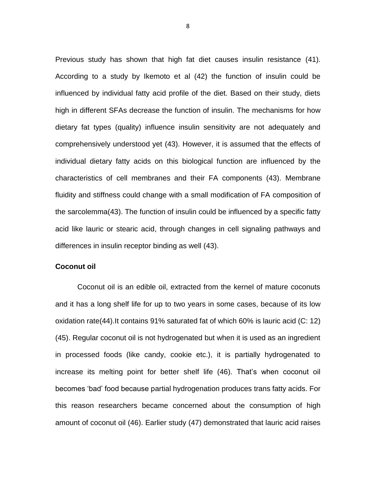Previous study has shown that high fat diet causes insulin resistance (41). According to a study by Ikemoto et al (42) the function of insulin could be influenced by individual fatty acid profile of the diet. Based on their study, diets high in different SFAs decrease the function of insulin. The mechanisms for how dietary fat types (quality) influence insulin sensitivity are not adequately and comprehensively understood yet (43). However, it is assumed that the effects of individual dietary fatty acids on this biological function are influenced by the characteristics of cell membranes and their FA components (43). Membrane fluidity and stiffness could change with a small modification of FA composition of the sarcolemma(43). The function of insulin could be influenced by a specific fatty acid like lauric or stearic acid, through changes in cell signaling pathways and differences in insulin receptor binding as well (43).

#### **Coconut oil**

Coconut oil is an edible oil, extracted from the kernel of mature coconuts and it has a long shelf life for up to two years in some cases, because of its low oxidation rate(44).It contains 91% saturated fat of which 60% is lauric acid (C: 12) (45). Regular coconut oil is not hydrogenated but when it is used as an ingredient in processed foods (like candy, cookie etc.), it is partially hydrogenated to increase its melting point for better shelf life (46). That's when coconut oil becomes 'bad' food because partial hydrogenation produces trans fatty acids. For this reason researchers became concerned about the consumption of high amount of coconut oil (46). Earlier study (47) demonstrated that lauric acid raises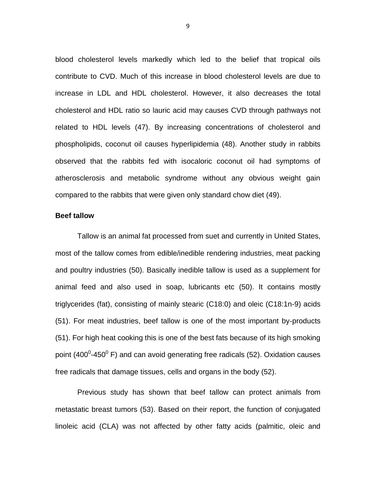blood cholesterol levels markedly which led to the belief that tropical oils contribute to CVD. Much of this increase in blood cholesterol levels are due to increase in LDL and HDL cholesterol. However, it also decreases the total cholesterol and HDL ratio so lauric acid may causes CVD through pathways not related to HDL levels (47). By increasing concentrations of cholesterol and phospholipids, coconut oil causes hyperlipidemia (48). Another study in rabbits observed that the rabbits fed with isocaloric coconut oil had symptoms of atherosclerosis and metabolic syndrome without any obvious weight gain compared to the rabbits that were given only standard chow diet (49).

#### **Beef tallow**

Tallow is an animal fat processed from suet and currently in United States, most of the tallow comes from edible/inedible rendering industries, meat packing and poultry industries (50). Basically inedible tallow is used as a supplement for animal feed and also used in soap, lubricants etc (50). It contains mostly triglycerides (fat), consisting of mainly stearic (C18:0) and oleic (C18:1n-9) acids (51). For meat industries, beef tallow is one of the most important by-products (51). For high heat cooking this is one of the best fats because of its high smoking point (400<sup>0</sup>-450<sup>0</sup> F) and can avoid generating free radicals (52). Oxidation causes free radicals that damage tissues, cells and organs in the body (52).

Previous study has shown that beef tallow can protect animals from metastatic breast tumors (53). Based on their report, the function of conjugated linoleic acid (CLA) was not affected by other fatty acids (palmitic, oleic and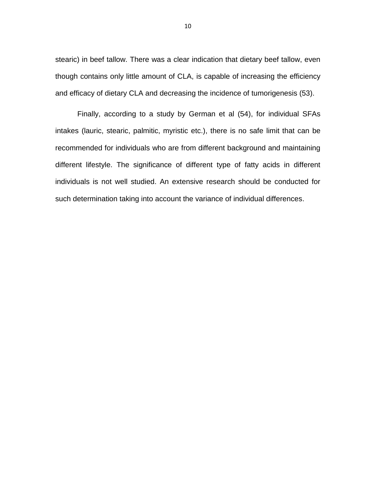stearic) in beef tallow. There was a clear indication that dietary beef tallow, even though contains only little amount of CLA, is capable of increasing the efficiency and efficacy of dietary CLA and decreasing the incidence of tumorigenesis (53).

Finally, according to a study by German et al (54), for individual SFAs intakes (lauric, stearic, palmitic, myristic etc.), there is no safe limit that can be recommended for individuals who are from different background and maintaining different lifestyle. The significance of different type of fatty acids in different individuals is not well studied. An extensive research should be conducted for such determination taking into account the variance of individual differences.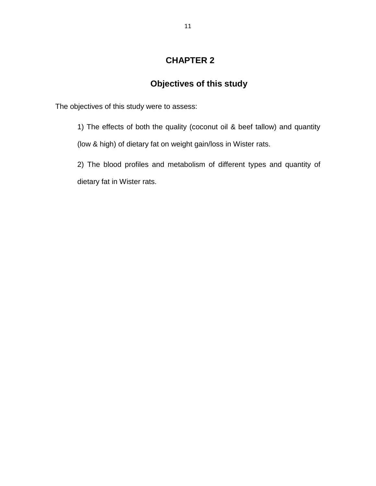## **CHAPTER 2**

## **Objectives of this study**

The objectives of this study were to assess:

1) The effects of both the quality (coconut oil & beef tallow) and quantity (low & high) of dietary fat on weight gain/loss in Wister rats.

2) The blood profiles and metabolism of different types and quantity of dietary fat in Wister rats.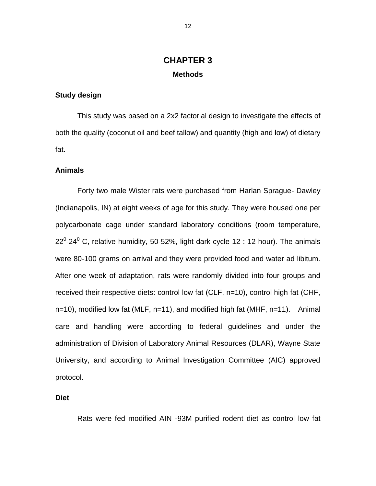## **CHAPTER 3 Methods**

#### **Study design**

This study was based on a 2x2 factorial design to investigate the effects of both the quality (coconut oil and beef tallow) and quantity (high and low) of dietary fat.

#### **Animals**

Forty two male Wister rats were purchased from Harlan Sprague- Dawley (Indianapolis, IN) at eight weeks of age for this study. They were housed one per polycarbonate cage under standard laboratory conditions (room temperature, 22<sup>0</sup>-24<sup>0</sup> C, relative humidity, 50-52%, light dark cycle 12 : 12 hour). The animals were 80-100 grams on arrival and they were provided food and water ad libitum. After one week of adaptation, rats were randomly divided into four groups and received their respective diets: control low fat (CLF, n=10), control high fat (CHF,  $n=10$ , modified low fat (MLF,  $n=11$ ), and modified high fat (MHF,  $n=11$ ). Animal care and handling were according to federal guidelines and under the administration of Division of Laboratory Animal Resources (DLAR), Wayne State University, and according to Animal Investigation Committee (AIC) approved protocol.

#### **Diet**

Rats were fed modified AIN -93M purified rodent diet as control low fat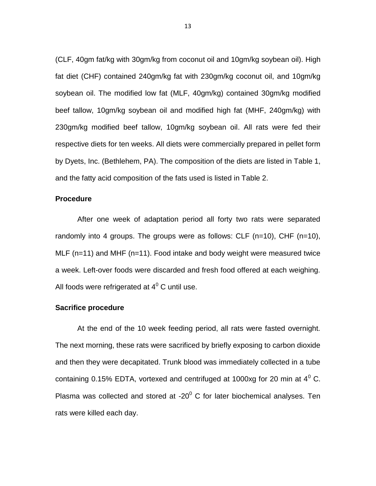(CLF, 40gm fat/kg with 30gm/kg from coconut oil and 10gm/kg soybean oil). High fat diet (CHF) contained 240gm/kg fat with 230gm/kg coconut oil, and 10gm/kg soybean oil. The modified low fat (MLF, 40gm/kg) contained 30gm/kg modified beef tallow, 10gm/kg soybean oil and modified high fat (MHF, 240gm/kg) with 230gm/kg modified beef tallow, 10gm/kg soybean oil. All rats were fed their respective diets for ten weeks. All diets were commercially prepared in pellet form by Dyets, Inc. (Bethlehem, PA). The composition of the diets are listed in Table 1, and the fatty acid composition of the fats used is listed in Table 2.

#### **Procedure**

After one week of adaptation period all forty two rats were separated randomly into 4 groups. The groups were as follows: CLF (n=10), CHF (n=10), MLF (n=11) and MHF (n=11). Food intake and body weight were measured twice a week. Left-over foods were discarded and fresh food offered at each weighing. All foods were refrigerated at  $4^0$  C until use.

#### **Sacrifice procedure**

At the end of the 10 week feeding period, all rats were fasted overnight. The next morning, these rats were sacrificed by briefly exposing to carbon dioxide and then they were decapitated. Trunk blood was immediately collected in a tube containing 0.15% EDTA, vortexed and centrifuged at 1000xg for 20 min at  $4^{\circ}$  C. Plasma was collected and stored at -20 $^{\circ}$  C for later biochemical analyses. Ten rats were killed each day.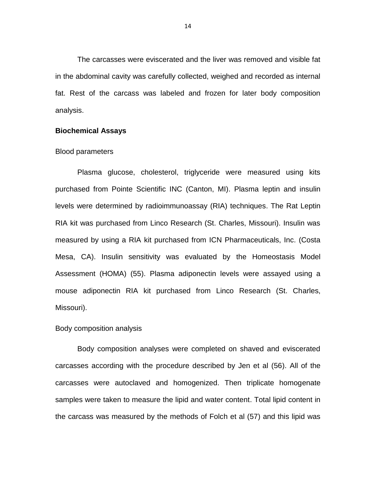The carcasses were eviscerated and the liver was removed and visible fat in the abdominal cavity was carefully collected, weighed and recorded as internal fat. Rest of the carcass was labeled and frozen for later body composition analysis.

#### **Biochemical Assays**

#### Blood parameters

Plasma glucose, cholesterol, triglyceride were measured using kits purchased from Pointe Scientific INC (Canton, MI). Plasma leptin and insulin levels were determined by radioimmunoassay (RIA) techniques. The Rat Leptin RIA kit was purchased from Linco Research (St. Charles, Missouri). Insulin was measured by using a RIA kit purchased from ICN Pharmaceuticals, Inc. (Costa Mesa, CA). Insulin sensitivity was evaluated by the Homeostasis Model Assessment (HOMA) (55). Plasma adiponectin levels were assayed using a mouse adiponectin RIA kit purchased from Linco Research (St. Charles, Missouri).

#### Body composition analysis

Body composition analyses were completed on shaved and eviscerated carcasses according with the procedure described by Jen et al (56). All of the carcasses were autoclaved and homogenized. Then triplicate homogenate samples were taken to measure the lipid and water content. Total lipid content in the carcass was measured by the methods of Folch et al (57) and this lipid was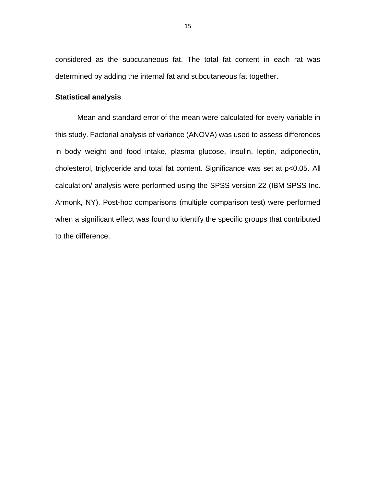considered as the subcutaneous fat. The total fat content in each rat was determined by adding the internal fat and subcutaneous fat together.

#### **Statistical analysis**

Mean and standard error of the mean were calculated for every variable in this study. Factorial analysis of variance (ANOVA) was used to assess differences in body weight and food intake, plasma glucose, insulin, leptin, adiponectin, cholesterol, triglyceride and total fat content. Significance was set at p<0.05. All calculation/ analysis were performed using the SPSS version 22 (IBM SPSS Inc. Armonk, NY). Post-hoc comparisons (multiple comparison test) were performed when a significant effect was found to identify the specific groups that contributed to the difference.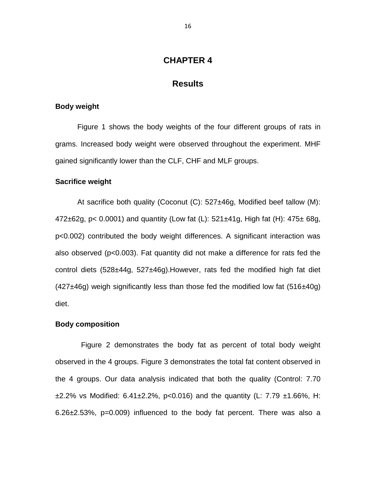#### **CHAPTER 4**

#### **Results**

#### **Body weight**

Figure 1 shows the body weights of the four different groups of rats in grams. Increased body weight were observed throughout the experiment. MHF gained significantly lower than the CLF, CHF and MLF groups.

#### **Sacrifice weight**

At sacrifice both quality (Coconut (C): 527±46g, Modified beef tallow (M): 472 $\pm$ 62g, p< 0.0001) and quantity (Low fat (L):  $521\pm 41$ g, High fat (H):  $475\pm 68$ g, p<0.002) contributed the body weight differences. A significant interaction was also observed (p<0.003). Fat quantity did not make a difference for rats fed the control diets (528±44g, 527±46g).However, rats fed the modified high fat diet  $(427±46g)$  weigh significantly less than those fed the modified low fat  $(516±40g)$ diet.

#### **Body composition**

Figure 2 demonstrates the body fat as percent of total body weight observed in the 4 groups. Figure 3 demonstrates the total fat content observed in the 4 groups. Our data analysis indicated that both the quality (Control: 7.70  $\pm$ 2.2% vs Modified: 6.41 $\pm$ 2.2%, p<0.016) and the quantity (L: 7.79  $\pm$ 1.66%, H: 6.26±2.53%, p=0.009) influenced to the body fat percent. There was also a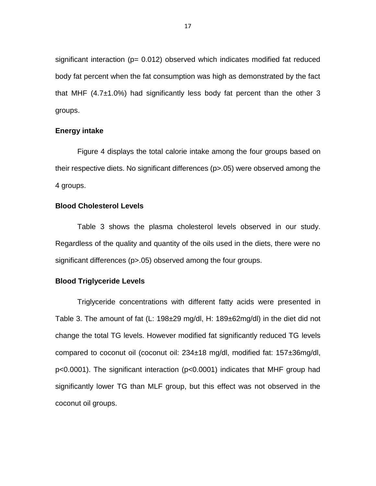significant interaction ( $p= 0.012$ ) observed which indicates modified fat reduced body fat percent when the fat consumption was high as demonstrated by the fact that MHF  $(4.7\pm1.0\%)$  had significantly less body fat percent than the other 3 groups.

#### **Energy intake**

Figure 4 displays the total calorie intake among the four groups based on their respective diets. No significant differences (p>.05) were observed among the 4 groups.

#### **Blood Cholesterol Levels**

Table 3 shows the plasma cholesterol levels observed in our study. Regardless of the quality and quantity of the oils used in the diets, there were no significant differences (p>.05) observed among the four groups.

#### **Blood Triglyceride Levels**

Triglyceride concentrations with different fatty acids were presented in Table 3. The amount of fat (L: 198±29 mg/dl, H: 189±62mg/dl) in the diet did not change the total TG levels. However modified fat significantly reduced TG levels compared to coconut oil (coconut oil: 234±18 mg/dl, modified fat: 157±36mg/dl, p<0.0001). The significant interaction (p<0.0001) indicates that MHF group had significantly lower TG than MLF group, but this effect was not observed in the coconut oil groups.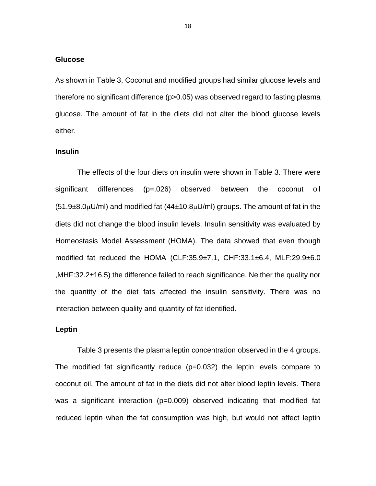#### **Glucose**

As shown in Table 3, Coconut and modified groups had similar glucose levels and therefore no significant difference (p>0.05) was observed regard to fasting plasma glucose. The amount of fat in the diets did not alter the blood glucose levels either.

#### **Insulin**

The effects of the four diets on insulin were shown in Table 3. There were significant differences (p=.026) observed between the coconut oil  $(51.9\pm8.0\mu$ U/ml) and modified fat  $(44\pm10.8\mu$ U/ml) groups. The amount of fat in the diets did not change the blood insulin levels. Insulin sensitivity was evaluated by Homeostasis Model Assessment (HOMA). The data showed that even though modified fat reduced the HOMA (CLF:35.9±7.1, CHF:33.1±6.4, MLF:29.9±6.0 ,MHF:32.2±16.5) the difference failed to reach significance. Neither the quality nor the quantity of the diet fats affected the insulin sensitivity. There was no interaction between quality and quantity of fat identified.

#### **Leptin**

Table 3 presents the plasma leptin concentration observed in the 4 groups. The modified fat significantly reduce (p=0.032) the leptin levels compare to coconut oil. The amount of fat in the diets did not alter blood leptin levels. There was a significant interaction (p=0.009) observed indicating that modified fat reduced leptin when the fat consumption was high, but would not affect leptin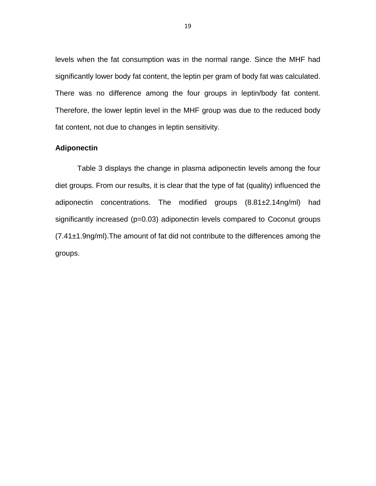levels when the fat consumption was in the normal range. Since the MHF had significantly lower body fat content, the leptin per gram of body fat was calculated. There was no difference among the four groups in leptin/body fat content. Therefore, the lower leptin level in the MHF group was due to the reduced body fat content, not due to changes in leptin sensitivity.

#### **Adiponectin**

Table 3 displays the change in plasma adiponectin levels among the four diet groups. From our results, it is clear that the type of fat (quality) influenced the adiponectin concentrations. The modified groups (8.81±2.14ng/ml) had significantly increased (p=0.03) adiponectin levels compared to Coconut groups (7.41±1.9ng/ml).The amount of fat did not contribute to the differences among the groups.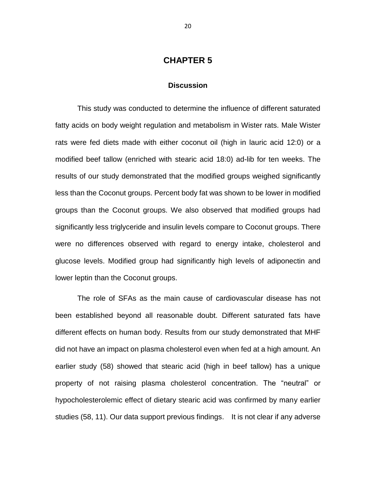#### **CHAPTER 5**

#### **Discussion**

This study was conducted to determine the influence of different saturated fatty acids on body weight regulation and metabolism in Wister rats. Male Wister rats were fed diets made with either coconut oil (high in lauric acid 12:0) or a modified beef tallow (enriched with stearic acid 18:0) ad-lib for ten weeks. The results of our study demonstrated that the modified groups weighed significantly less than the Coconut groups. Percent body fat was shown to be lower in modified groups than the Coconut groups. We also observed that modified groups had significantly less triglyceride and insulin levels compare to Coconut groups. There were no differences observed with regard to energy intake, cholesterol and glucose levels. Modified group had significantly high levels of adiponectin and lower leptin than the Coconut groups.

The role of SFAs as the main cause of cardiovascular disease has not been established beyond all reasonable doubt. Different saturated fats have different effects on human body. Results from our study demonstrated that MHF did not have an impact on plasma cholesterol even when fed at a high amount. An earlier study (58) showed that stearic acid (high in beef tallow) has a unique property of not raising plasma cholesterol concentration. The "neutral" or hypocholesterolemic effect of dietary stearic acid was confirmed by many earlier studies (58, 11). Our data support previous findings. It is not clear if any adverse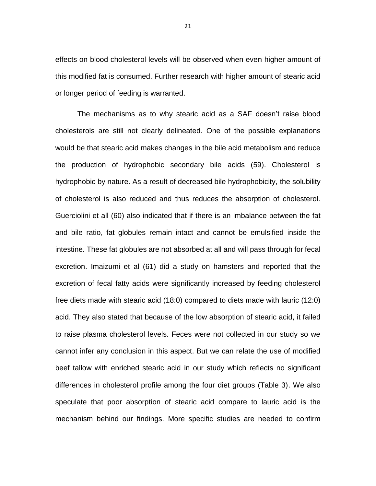effects on blood cholesterol levels will be observed when even higher amount of this modified fat is consumed. Further research with higher amount of stearic acid or longer period of feeding is warranted.

The mechanisms as to why stearic acid as a SAF doesn't raise blood cholesterols are still not clearly delineated. One of the possible explanations would be that stearic acid makes changes in the bile acid metabolism and reduce the production of hydrophobic secondary bile acids (59). Cholesterol is hydrophobic by nature. As a result of decreased bile hydrophobicity, the solubility of cholesterol is also reduced and thus reduces the absorption of cholesterol. Guerciolini et all (60) also indicated that if there is an imbalance between the fat and bile ratio, fat globules remain intact and cannot be emulsified inside the intestine. These fat globules are not absorbed at all and will pass through for fecal excretion. Imaizumi et al (61) did a study on hamsters and reported that the excretion of fecal fatty acids were significantly increased by feeding cholesterol free diets made with stearic acid (18:0) compared to diets made with lauric (12:0) acid. They also stated that because of the low absorption of stearic acid, it failed to raise plasma cholesterol levels. Feces were not collected in our study so we cannot infer any conclusion in this aspect. But we can relate the use of modified beef tallow with enriched stearic acid in our study which reflects no significant differences in cholesterol profile among the four diet groups (Table 3). We also speculate that poor absorption of stearic acid compare to lauric acid is the mechanism behind our findings. More specific studies are needed to confirm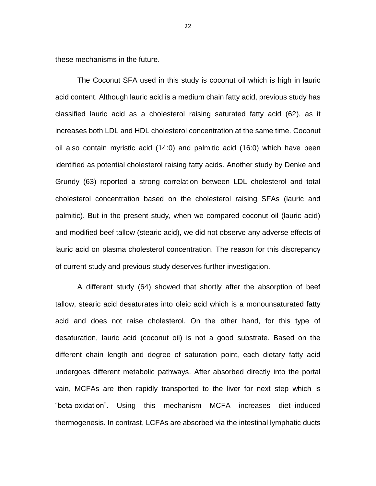these mechanisms in the future.

The Coconut SFA used in this study is coconut oil which is high in lauric acid content. Although lauric acid is a medium chain fatty acid, previous study has classified lauric acid as a cholesterol raising saturated fatty acid (62), as it increases both LDL and HDL cholesterol concentration at the same time. Coconut oil also contain myristic acid (14:0) and palmitic acid (16:0) which have been identified as potential cholesterol raising fatty acids. Another study by Denke and Grundy (63) reported a strong correlation between LDL cholesterol and total cholesterol concentration based on the cholesterol raising SFAs (lauric and palmitic). But in the present study, when we compared coconut oil (lauric acid) and modified beef tallow (stearic acid), we did not observe any adverse effects of lauric acid on plasma cholesterol concentration. The reason for this discrepancy of current study and previous study deserves further investigation.

A different study (64) showed that shortly after the absorption of beef tallow, stearic acid desaturates into oleic acid which is a monounsaturated fatty acid and does not raise cholesterol. On the other hand, for this type of desaturation, lauric acid (coconut oil) is not a good substrate. Based on the different chain length and degree of saturation point, each dietary fatty acid undergoes different metabolic pathways. After absorbed directly into the portal vain, MCFAs are then rapidly transported to the liver for next step which is "beta-oxidation". Using this mechanism MCFA increases diet–induced thermogenesis. In contrast, LCFAs are absorbed via the intestinal lymphatic ducts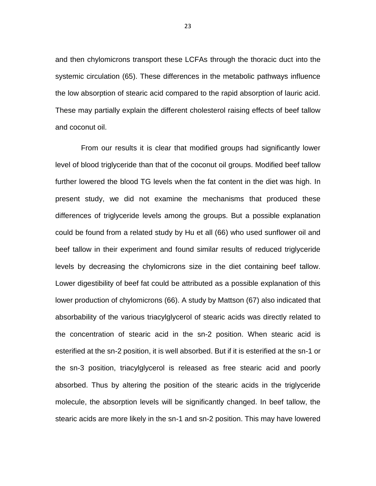and then chylomicrons transport these LCFAs through the thoracic duct into the systemic circulation (65). These differences in the metabolic pathways influence the low absorption of stearic acid compared to the rapid absorption of lauric acid. These may partially explain the different cholesterol raising effects of beef tallow and coconut oil.

From our results it is clear that modified groups had significantly lower level of blood triglyceride than that of the coconut oil groups. Modified beef tallow further lowered the blood TG levels when the fat content in the diet was high. In present study, we did not examine the mechanisms that produced these differences of triglyceride levels among the groups. But a possible explanation could be found from a related study by Hu et all (66) who used sunflower oil and beef tallow in their experiment and found similar results of reduced triglyceride levels by decreasing the chylomicrons size in the diet containing beef tallow. Lower digestibility of beef fat could be attributed as a possible explanation of this lower production of chylomicrons (66). A study by Mattson (67) also indicated that absorbability of the various triacylglycerol of stearic acids was directly related to the concentration of stearic acid in the sn-2 position. When stearic acid is esterified at the sn-2 position, it is well absorbed. But if it is esterified at the sn-1 or the sn-3 position, triacylglycerol is released as free stearic acid and poorly absorbed. Thus by altering the position of the stearic acids in the triglyceride molecule, the absorption levels will be significantly changed. In beef tallow, the stearic acids are more likely in the sn-1 and sn-2 position. This may have lowered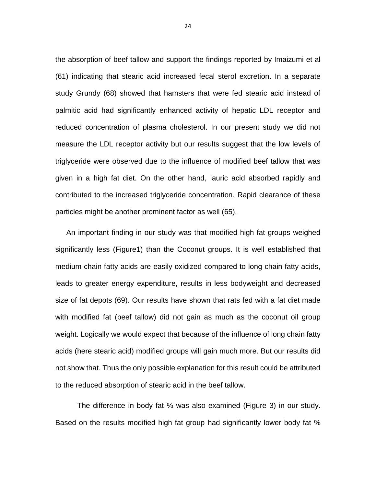the absorption of beef tallow and support the findings reported by Imaizumi et al (61) indicating that stearic acid increased fecal sterol excretion. In a separate study Grundy (68) showed that hamsters that were fed stearic acid instead of palmitic acid had significantly enhanced activity of hepatic LDL receptor and reduced concentration of plasma cholesterol. In our present study we did not measure the LDL receptor activity but our results suggest that the low levels of triglyceride were observed due to the influence of modified beef tallow that was given in a high fat diet. On the other hand, lauric acid absorbed rapidly and contributed to the increased triglyceride concentration. Rapid clearance of these particles might be another prominent factor as well (65).

 An important finding in our study was that modified high fat groups weighed significantly less (Figure1) than the Coconut groups. It is well established that medium chain fatty acids are easily oxidized compared to long chain fatty acids, leads to greater energy expenditure, results in less bodyweight and decreased size of fat depots (69). Our results have shown that rats fed with a fat diet made with modified fat (beef tallow) did not gain as much as the coconut oil group weight. Logically we would expect that because of the influence of long chain fatty acids (here stearic acid) modified groups will gain much more. But our results did not show that. Thus the only possible explanation for this result could be attributed to the reduced absorption of stearic acid in the beef tallow.

The difference in body fat % was also examined (Figure 3) in our study. Based on the results modified high fat group had significantly lower body fat %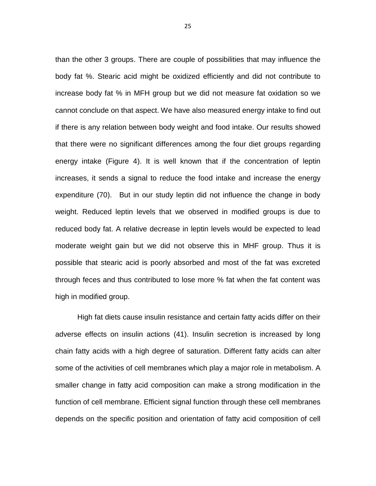than the other 3 groups. There are couple of possibilities that may influence the body fat %. Stearic acid might be oxidized efficiently and did not contribute to increase body fat % in MFH group but we did not measure fat oxidation so we cannot conclude on that aspect. We have also measured energy intake to find out if there is any relation between body weight and food intake. Our results showed that there were no significant differences among the four diet groups regarding energy intake (Figure 4). It is well known that if the concentration of leptin increases, it sends a signal to reduce the food intake and increase the energy expenditure (70). But in our study leptin did not influence the change in body weight. Reduced leptin levels that we observed in modified groups is due to reduced body fat. A relative decrease in leptin levels would be expected to lead moderate weight gain but we did not observe this in MHF group. Thus it is possible that stearic acid is poorly absorbed and most of the fat was excreted through feces and thus contributed to lose more % fat when the fat content was high in modified group.

High fat diets cause insulin resistance and certain fatty acids differ on their adverse effects on insulin actions (41). Insulin secretion is increased by long chain fatty acids with a high degree of saturation. Different fatty acids can alter some of the activities of cell membranes which play a major role in metabolism. A smaller change in fatty acid composition can make a strong modification in the function of cell membrane. Efficient signal function through these cell membranes depends on the specific position and orientation of fatty acid composition of cell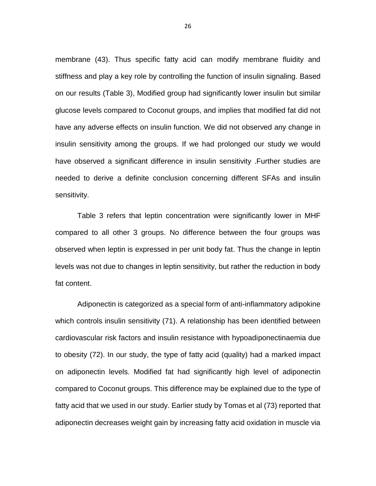membrane (43). Thus specific fatty acid can modify membrane fluidity and stiffness and play a key role by controlling the function of insulin signaling. Based on our results (Table 3), Modified group had significantly lower insulin but similar glucose levels compared to Coconut groups, and implies that modified fat did not have any adverse effects on insulin function. We did not observed any change in insulin sensitivity among the groups. If we had prolonged our study we would have observed a significant difference in insulin sensitivity .Further studies are needed to derive a definite conclusion concerning different SFAs and insulin sensitivity.

Table 3 refers that leptin concentration were significantly lower in MHF compared to all other 3 groups. No difference between the four groups was observed when leptin is expressed in per unit body fat. Thus the change in leptin levels was not due to changes in leptin sensitivity, but rather the reduction in body fat content.

Adiponectin is categorized as a special form of anti-inflammatory adipokine which controls insulin sensitivity (71). A relationship has been identified between cardiovascular risk factors and insulin resistance with hypoadiponectinaemia due to obesity (72). In our study, the type of fatty acid (quality) had a marked impact on adiponectin levels. Modified fat had significantly high level of adiponectin compared to Coconut groups. This difference may be explained due to the type of fatty acid that we used in our study. Earlier study by Tomas et al (73) reported that adiponectin decreases weight gain by increasing fatty acid oxidation in muscle via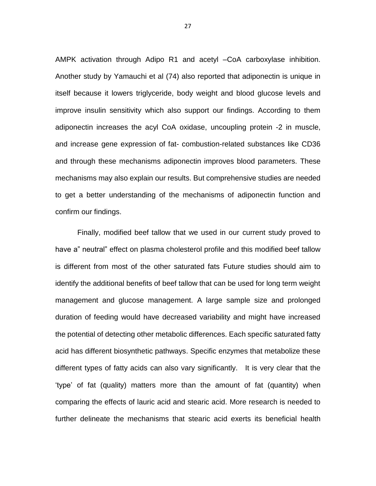AMPK activation through Adipo R1 and acetyl –CoA carboxylase inhibition. Another study by Yamauchi et al (74) also reported that adiponectin is unique in itself because it lowers triglyceride, body weight and blood glucose levels and improve insulin sensitivity which also support our findings. According to them adiponectin increases the acyl CoA oxidase, uncoupling protein -2 in muscle, and increase gene expression of fat- combustion-related substances like CD36 and through these mechanisms adiponectin improves blood parameters. These mechanisms may also explain our results. But comprehensive studies are needed to get a better understanding of the mechanisms of adiponectin function and confirm our findings.

Finally, modified beef tallow that we used in our current study proved to have a" neutral" effect on plasma cholesterol profile and this modified beef tallow is different from most of the other saturated fats Future studies should aim to identify the additional benefits of beef tallow that can be used for long term weight management and glucose management. A large sample size and prolonged duration of feeding would have decreased variability and might have increased the potential of detecting other metabolic differences. Each specific saturated fatty acid has different biosynthetic pathways. Specific enzymes that metabolize these different types of fatty acids can also vary significantly. It is very clear that the 'type' of fat (quality) matters more than the amount of fat (quantity) when comparing the effects of lauric acid and stearic acid. More research is needed to further delineate the mechanisms that stearic acid exerts its beneficial health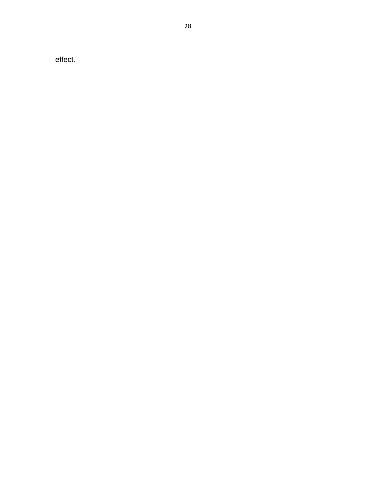effect.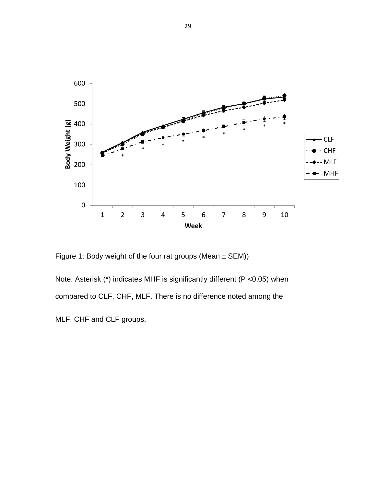

Figure 1: Body weight of the four rat groups (Mean  $\pm$  SEM))

Note: Asterisk (\*) indicates MHF is significantly different (P <0.05) when compared to CLF, CHF, MLF. There is no difference noted among the

MLF, CHF and CLF groups.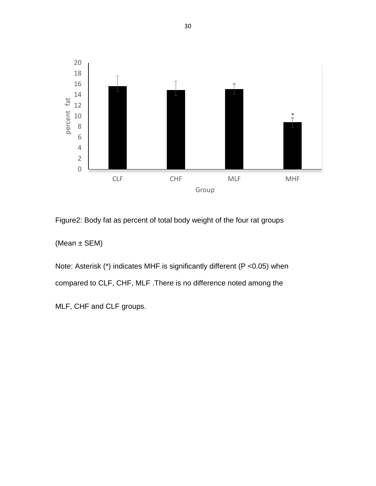

Figure2: Body fat as percent of total body weight of the four rat groups

(Mean ± SEM)

Note: Asterisk (\*) indicates MHF is significantly different (P <0.05) when compared to CLF, CHF, MLF .There is no difference noted among the

MLF, CHF and CLF groups.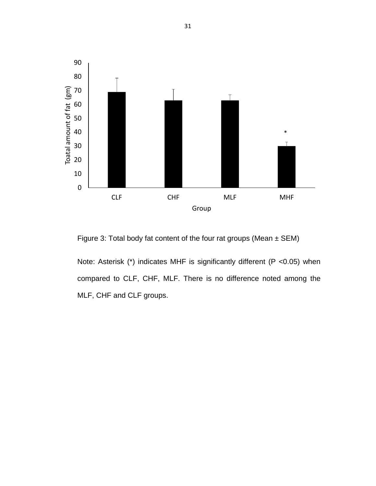

Figure 3: Total body fat content of the four rat groups (Mean  $\pm$  SEM)

Note: Asterisk (\*) indicates MHF is significantly different (P <0.05) when compared to CLF, CHF, MLF. There is no difference noted among the MLF, CHF and CLF groups.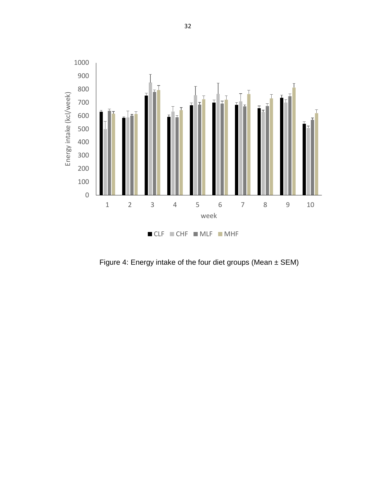

Figure 4: Energy intake of the four diet groups (Mean ± SEM)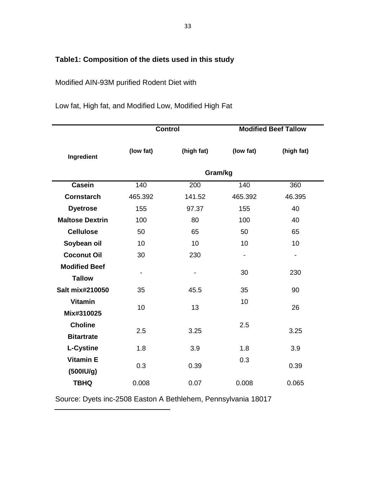## **Table1: Composition of the diets used in this study**

## Modified AIN-93M purified Rodent Diet with

|  |  |  | Low fat, High fat, and Modified Low, Modified High Fat |  |  |  |  |
|--|--|--|--------------------------------------------------------|--|--|--|--|
|--|--|--|--------------------------------------------------------|--|--|--|--|

|                        |                              | <b>Control</b> |           | <b>Modified Beef Tallow</b> |  |  |  |
|------------------------|------------------------------|----------------|-----------|-----------------------------|--|--|--|
| Ingredient             | (low fat)                    | (high fat)     | (low fat) | (high fat)                  |  |  |  |
|                        | Gram/kg                      |                |           |                             |  |  |  |
| <b>Casein</b>          | 140                          | 200            | 140       | 360                         |  |  |  |
| <b>Cornstarch</b>      | 465.392                      | 141.52         | 465.392   | 46.395                      |  |  |  |
| <b>Dyetrose</b>        | 155                          | 97.37          | 155       | 40                          |  |  |  |
| <b>Maltose Dextrin</b> | 100                          | 80             | 100       | 40                          |  |  |  |
| <b>Cellulose</b>       | 50                           | 65             | 50        | 65                          |  |  |  |
| Soybean oil            | 10                           | 10             | 10        | 10                          |  |  |  |
| <b>Coconut Oil</b>     | 30                           | 230            |           |                             |  |  |  |
| <b>Modified Beef</b>   |                              |                | 30        | 230                         |  |  |  |
| <b>Tallow</b>          | $\qquad \qquad \blacksquare$ |                |           |                             |  |  |  |
| Salt mix#210050        | 35                           | 45.5           | 35        | 90                          |  |  |  |
| <b>Vitamin</b>         | 10                           | 13             | 10        | 26                          |  |  |  |
| Mix#310025             |                              |                |           |                             |  |  |  |
| <b>Choline</b>         | 2.5                          | 3.25           | 2.5       | 3.25                        |  |  |  |
| <b>Bitartrate</b>      |                              |                |           |                             |  |  |  |
| <b>L-Cystine</b>       | 1.8                          | 3.9            | 1.8       | 3.9                         |  |  |  |
| <b>Vitamin E</b>       | 0.3                          | 0.39           | 0.3       | 0.39                        |  |  |  |
| (5001U/g)              |                              |                |           |                             |  |  |  |
| <b>TBHQ</b>            | 0.008                        | 0.07           | 0.008     | 0.065                       |  |  |  |

Source: Dyets inc-2508 Easton A Bethlehem, Pennsylvania 18017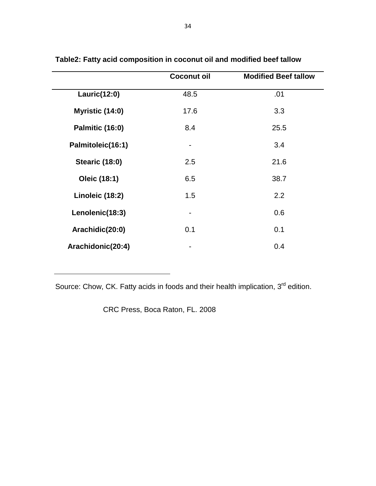|                        | <b>Coconut oil</b> | <b>Modified Beef tallow</b> |
|------------------------|--------------------|-----------------------------|
| Lauric(12:0)           | 48.5               | .01                         |
| Myristic (14:0)        | 17.6               | 3.3                         |
| <b>Palmitic (16:0)</b> | 8.4                | 25.5                        |
| Palmitoleic(16:1)      |                    | 3.4                         |
| <b>Stearic (18:0)</b>  | 2.5                | 21.6                        |
| Oleic (18:1)           | 6.5                | 38.7                        |
| Linoleic (18:2)        | 1.5                | 2.2                         |
| Lenolenic(18:3)        |                    | 0.6                         |
| Arachidic(20:0)        | 0.1                | 0.1                         |
| Arachidonic(20:4)      |                    | 0.4                         |

**Table2: Fatty acid composition in coconut oil and modified beef tallow**

Source: Chow, CK. Fatty acids in foods and their health implication, 3<sup>rd</sup> edition.

CRC Press, Boca Raton, FL. 2008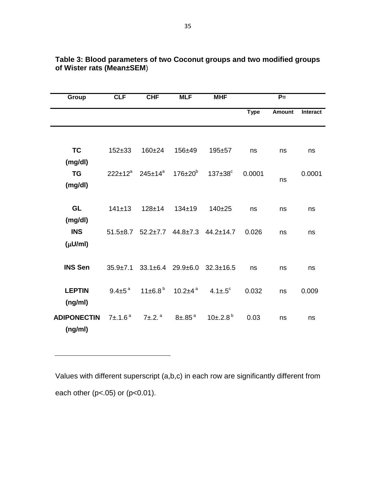| Group              | <b>CLF</b>      | <b>CHF</b>                                                      | <b>MLF</b>          | <b>MHF</b>                                           |             | $P =$         |                 |
|--------------------|-----------------|-----------------------------------------------------------------|---------------------|------------------------------------------------------|-------------|---------------|-----------------|
|                    |                 |                                                                 |                     |                                                      | <b>Type</b> | <b>Amount</b> | <b>Interact</b> |
|                    |                 |                                                                 |                     |                                                      |             |               |                 |
| <b>TC</b>          | $152 + 33$      | $160 + 24$                                                      | 156±49              | $195 + 57$                                           | ns          | ns            | ns              |
| (mg/dl)            |                 |                                                                 |                     |                                                      |             |               |                 |
| <b>TG</b>          |                 | $222 \pm 12^a$ 245 $\pm 14^a$ 176 $\pm 20^b$                    |                     | $137\pm38^\circ$                                     | 0.0001      | ns            | 0.0001          |
| (mg/dl)            |                 |                                                                 |                     |                                                      |             |               |                 |
| GL                 | 141±13          | $128 + 14$                                                      | $134 \pm 19$        | $140 + 25$                                           | ns          | ns            | ns              |
| (mg/dl)            |                 |                                                                 |                     |                                                      |             |               |                 |
| <b>INS</b>         |                 |                                                                 |                     | $51.5\pm8.7$ $52.2\pm7.7$ $44.8\pm7.3$ $44.2\pm14.7$ | 0.026       | ns            | ns              |
| $(\mu U/ml)$       |                 |                                                                 |                     |                                                      |             |               |                 |
|                    |                 |                                                                 |                     |                                                      |             |               |                 |
| <b>INS Sen</b>     | $35.9 \pm 7.1$  |                                                                 |                     | $33.1\pm6.4$ $29.9\pm6.0$ $32.3\pm16.5$              | ns          | ns            | ns              |
| <b>LEPTIN</b>      | $9.4 \pm 5^{a}$ | $11\pm 6.8^{\mathrm{b}}$                                        | 10.2±4 <sup>a</sup> | 4.1 $\pm$ .5 $^{\circ}$                              | 0.032       | ns            | 0.009           |
| (ng/ml)            |                 |                                                                 |                     |                                                      |             |               |                 |
| <b>ADIPONECTIN</b> |                 | $7\pm.1.6^{\text{a}}$ $7\pm.2.^{\text{a}}$ $8\pm.85^{\text{a}}$ |                     | $10\pm.2.8^{\circ}$                                  | 0.03        | ns            | ns              |
| (ng/ml)            |                 |                                                                 |                     |                                                      |             |               |                 |

#### **Table 3: Blood parameters of two Coconut groups and two modified groups of Wister rats (Mean±SEM**)

Values with different superscript (a,b,c) in each row are significantly different from each other ( $p$ <.05) or ( $p$ <0.01).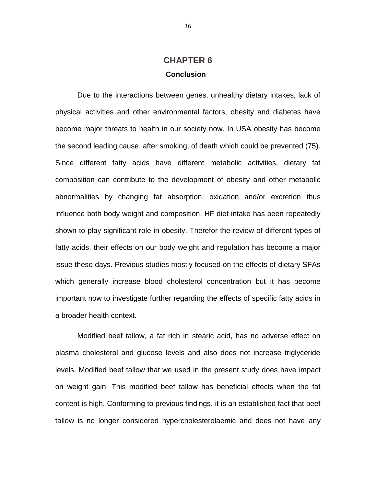## **CHAPTER 6 Conclusion**

Due to the interactions between genes, unhealthy dietary intakes, lack of physical activities and other environmental factors, obesity and diabetes have become major threats to health in our society now. In USA obesity has become the second leading cause, after smoking, of death which could be prevented (75). Since different fatty acids have different metabolic activities, dietary fat composition can contribute to the development of obesity and other metabolic abnormalities by changing fat absorption, oxidation and/or excretion thus influence both body weight and composition. HF diet intake has been repeatedly shown to play significant role in obesity. Therefor the review of different types of fatty acids, their effects on our body weight and regulation has become a major issue these days. Previous studies mostly focused on the effects of dietary SFAs which generally increase blood cholesterol concentration but it has become important now to investigate further regarding the effects of specific fatty acids in a broader health context.

Modified beef tallow, a fat rich in stearic acid, has no adverse effect on plasma cholesterol and glucose levels and also does not increase triglyceride levels. Modified beef tallow that we used in the present study does have impact on weight gain. This modified beef tallow has beneficial effects when the fat content is high. Conforming to previous findings, it is an established fact that beef tallow is no longer considered hypercholesterolaemic and does not have any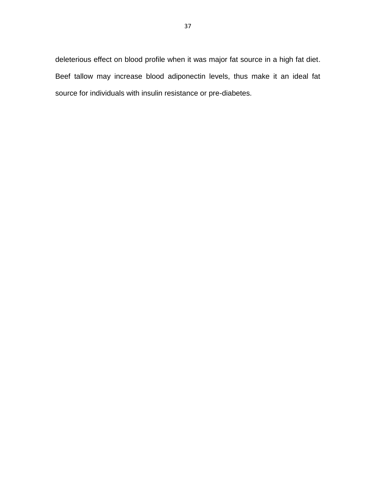deleterious effect on blood profile when it was major fat source in a high fat diet. Beef tallow may increase blood adiponectin levels, thus make it an ideal fat source for individuals with insulin resistance or pre-diabetes.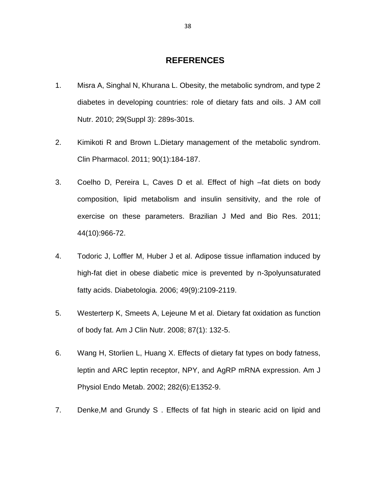### **REFERENCES**

- 1. Misra A, Singhal N, Khurana L. Obesity, the metabolic syndrom, and type 2 diabetes in developing countries: role of dietary fats and oils. J AM coll Nutr. 2010; 29(Suppl 3): 289s-301s.
- 2. Kimikoti R and Brown L.Dietary management of the metabolic syndrom. Clin Pharmacol. 2011; 90(1):184-187.
- 3. Coelho D, Pereira L, Caves D et al. Effect of high –fat diets on body composition, lipid metabolism and insulin sensitivity, and the role of exercise on these parameters. Brazilian J Med and Bio Res. 2011; 44(10):966-72.
- 4. Todoric J, Loffler M, Huber J et al. Adipose tissue inflamation induced by high-fat diet in obese diabetic mice is prevented by n-3polyunsaturated fatty acids. Diabetologia. 2006; 49(9):2109-2119.
- 5. Westerterp K, Smeets A, Lejeune M et al. Dietary fat oxidation as function of body fat. Am J Clin Nutr. 2008; 87(1): 132-5.
- 6. Wang H, Storlien L, Huang X. Effects of dietary fat types on body fatness, leptin and ARC leptin receptor, NPY, and AgRP mRNA expression. Am J Physiol Endo Metab. 2002; 282(6):E1352-9.
- 7. Denke,M and Grundy S . Effects of fat high in stearic acid on lipid and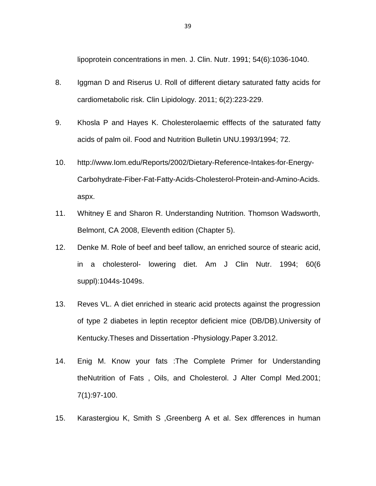lipoprotein concentrations in men. J. Clin. Nutr. 1991; 54(6):1036-1040.

- 8. Iggman D and Riserus U. Roll of different dietary saturated fatty acids for cardiometabolic risk. Clin Lipidology. 2011; 6(2):223-229.
- 9. Khosla P and Hayes K. Cholesterolaemic efffects of the saturated fatty acids of palm oil. Food and Nutrition Bulletin UNU.1993/1994; 72.
- 10. http://www.Iom.edu/Reports/2002/Dietary-Reference-Intakes-for-Energy-Carbohydrate-Fiber-Fat-Fatty-Acids-Cholesterol-Protein-and-Amino-Acids. aspx.
- 11. Whitney E and Sharon R. Understanding Nutrition. Thomson Wadsworth, Belmont, CA 2008, Eleventh edition (Chapter 5).
- 12. Denke M. Role of beef and beef tallow, an enriched source of stearic acid, in a cholesterol- lowering diet. Am J Clin Nutr. 1994; 60(6 suppl):1044s-1049s.
- 13. Reves VL. A diet enriched in stearic acid protects against the progression of type 2 diabetes in leptin receptor deficient mice (DB/DB).University of Kentucky.Theses and Dissertation -Physiology.Paper 3.2012.
- 14. Enig M. Know your fats :The Complete Primer for Understanding theNutrition of Fats , Oils, and Cholesterol. J Alter Compl Med.2001; 7(1):97-100.
- 15. Karastergiou K, Smith S ,Greenberg A et al. Sex dfferences in human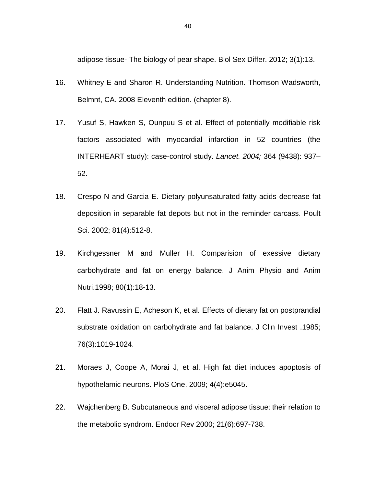adipose tissue- The biology of pear shape. Biol Sex Differ. 2012; 3(1):13.

- 16. Whitney E and Sharon R. Understanding Nutrition. Thomson Wadsworth, Belmnt, CA. 2008 Eleventh edition. (chapter 8).
- 17. Yusuf S, Hawken S, Ounpuu S et al. Effect of potentially modifiable risk factors associated with myocardial infarction in 52 countries (the INTERHEART study): case-control study. *Lancet. 2004;* 364 (9438): 937– 52.
- 18. Crespo N and Garcia E. Dietary polyunsaturated fatty acids decrease fat deposition in separable fat depots but not in the reminder carcass. Poult Sci. 2002; 81(4):512-8.
- 19. Kirchgessner M and Muller H. Comparision of exessive dietary carbohydrate and fat on energy balance. J Anim Physio and Anim Nutri.1998; 80(1):18-13.
- 20. Flatt J. Ravussin E, Acheson K, et al. Effects of dietary fat on postprandial substrate oxidation on carbohydrate and fat balance. J Clin Invest .1985; 76(3):1019-1024.
- 21. Moraes J, Coope A, Morai J, et al. High fat diet induces apoptosis of hypothelamic neurons. PloS One. 2009; 4(4):e5045.
- 22. Wajchenberg B. Subcutaneous and visceral adipose tissue: their relation to the metabolic syndrom. Endocr Rev 2000; 21(6):697-738.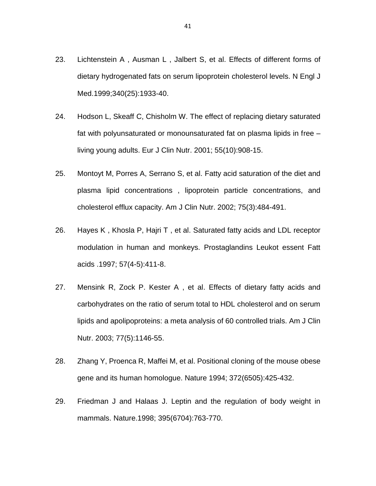- 23. Lichtenstein A , Ausman L , Jalbert S, et al. Effects of different forms of dietary hydrogenated fats on serum lipoprotein cholesterol levels. N Engl J Med.1999;340(25):1933-40.
- 24. Hodson L, Skeaff C, Chisholm W. The effect of replacing dietary saturated fat with polyunsaturated or monounsaturated fat on plasma lipids in free – living young adults. Eur J Clin Nutr. 2001; 55(10):908-15.
- 25. Montoyt M, Porres A, Serrano S, et al. Fatty acid saturation of the diet and plasma lipid concentrations , lipoprotein particle concentrations, and cholesterol efflux capacity. Am J Clin Nutr. 2002; 75(3):484-491.
- 26. Hayes K , Khosla P, Hajri T , et al. Saturated fatty acids and LDL receptor modulation in human and monkeys. Prostaglandins Leukot essent Fatt acids .1997; 57(4-5):411-8.
- 27. Mensink R, Zock P. Kester A , et al. Effects of dietary fatty acids and carbohydrates on the ratio of serum total to HDL cholesterol and on serum lipids and apolipoproteins: a meta analysis of 60 controlled trials. Am J Clin Nutr. 2003; 77(5):1146-55.
- 28. Zhang Y, Proenca R, Maffei M, et al. Positional cloning of the mouse obese gene and its human homologue. Nature 1994; 372(6505):425-432.
- 29. Friedman J and Halaas J. Leptin and the regulation of body weight in mammals. Nature.1998; 395(6704):763-770.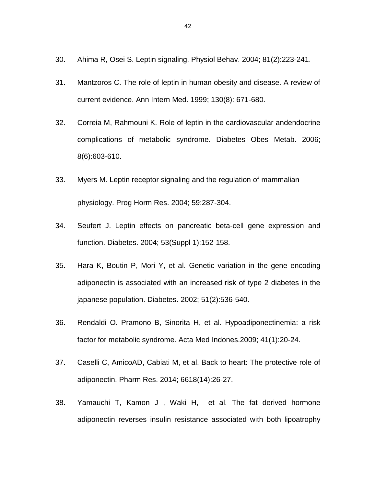- 30. Ahima R, Osei S. Leptin signaling. Physiol Behav. 2004; 81(2):223-241.
- 31. Mantzoros C. The role of leptin in human obesity and disease. A review of current evidence. Ann Intern Med. 1999; 130(8): 671-680.
- 32. Correia M, Rahmouni K. Role of leptin in the cardiovascular andendocrine complications of metabolic syndrome. Diabetes Obes Metab. 2006; 8(6):603-610.
- 33. Myers M. Leptin receptor signaling and the regulation of mammalian physiology. Prog Horm Res. 2004; 59:287-304.
- 34. Seufert J. Leptin effects on pancreatic beta-cell gene expression and function. Diabetes. 2004; 53(Suppl 1):152-158.
- 35. Hara K, Boutin P, Mori Y, et al. Genetic variation in the gene encoding adiponectin is associated with an increased risk of type 2 diabetes in the japanese population. Diabetes. 2002; 51(2):536-540.
- 36. Rendaldi O. Pramono B, Sinorita H, et al. Hypoadiponectinemia: a risk factor for metabolic syndrome. Acta Med Indones.2009; 41(1):20-24.
- 37. Caselli C, AmicoAD, Cabiati M, et al. Back to heart: The protective role of adiponectin. Pharm Res. 2014; 6618(14):26-27.
- 38. Yamauchi T, Kamon J , Waki H, et al. The fat derived hormone adiponectin reverses insulin resistance associated with both lipoatrophy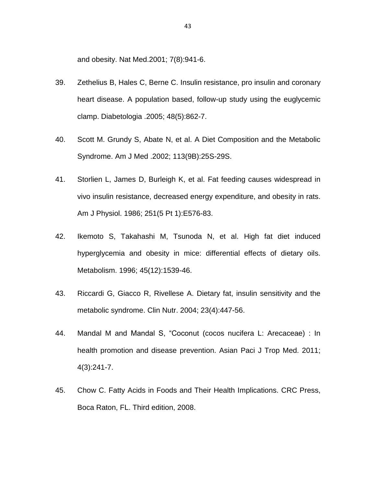and obesity. Nat Med.2001; 7(8):941-6.

- 39. Zethelius B, Hales C, Berne C. Insulin resistance, pro insulin and coronary heart disease. A population based, follow-up study using the euglycemic clamp. Diabetologia .2005; 48(5):862-7.
- 40. Scott M. Grundy S, Abate N, et al. A Diet Composition and the Metabolic Syndrome. Am J Med .2002; 113(9B):25S-29S.
- 41. Storlien L, James D, Burleigh K, et al. Fat feeding causes widespread in vivo insulin resistance, decreased energy expenditure, and obesity in rats. Am J Physiol. 1986; 251(5 Pt 1):E576-83.
- 42. Ikemoto S, Takahashi M, Tsunoda N, et al. High fat diet induced hyperglycemia and obesity in mice: differential effects of dietary oils. Metabolism. 1996; 45(12):1539-46.
- 43. Riccardi G, Giacco R, Rivellese A. Dietary fat, insulin sensitivity and the metabolic syndrome. Clin Nutr. 2004; 23(4):447-56.
- 44. Mandal M and Mandal S, "Coconut (cocos nucifera L: Arecaceae) : In health promotion and disease prevention. Asian Paci J Trop Med. 2011; 4(3):241-7.
- 45. Chow C. Fatty Acids in Foods and Their Health Implications. CRC Press, Boca Raton, FL. Third edition, 2008.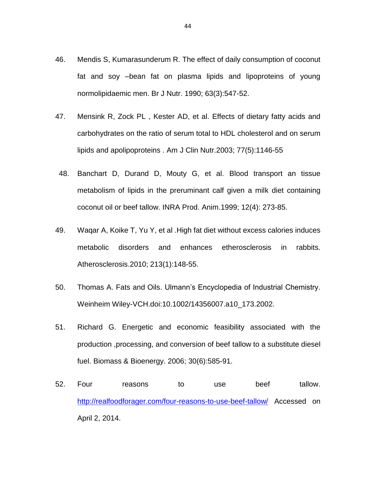- 46. Mendis S, Kumarasunderum R. The effect of daily consumption of coconut fat and soy –bean fat on plasma lipids and lipoproteins of young normolipidaemic men. Br J Nutr. 1990; 63(3):547-52.
- 47. Mensink R, Zock PL , Kester AD, et al. Effects of dietary fatty acids and carbohydrates on the ratio of serum total to HDL cholesterol and on serum lipids and apolipoproteins . Am J Clin Nutr.2003; 77(5):1146-55
- 48. Banchart D, Durand D, Mouty G, et al. Blood transport an tissue metabolism of lipids in the preruminant calf given a milk diet containing coconut oil or beef tallow. INRA Prod. Anim.1999; 12(4): 273-85.
- 49. Waqar A, Koike T, Yu Y, et al .High fat diet without excess calories induces metabolic disorders and enhances etherosclerosis in rabbits. Atherosclerosis.2010; 213(1):148-55.
- 50. Thomas A. Fats and Oils. Ulmann's Encyclopedia of Industrial Chemistry. Weinheim Wiley-VCH.doi:10.1002/14356007.a10\_173.2002.
- 51. Richard G. Energetic and economic feasibility associated with the production ,processing, and conversion of beef tallow to a substitute diesel fuel. Biomass & Bioenergy. 2006; 30(6):585-91.
- 52. Four reasons to use beef tallow. <http://realfoodforager.com/four-reasons-to-use-beef-tallow/> Accessed on April 2, 2014.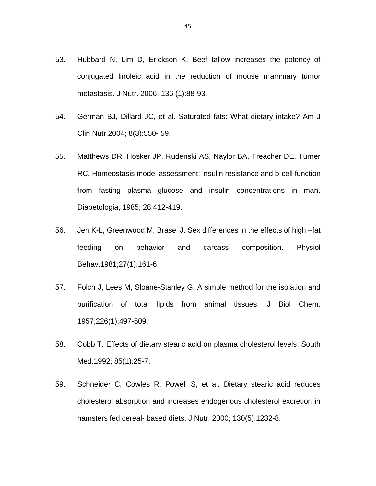- 53. Hubbard N, Lim D, Erickson K. Beef tallow increases the potency of conjugated linoleic acid in the reduction of mouse mammary tumor metastasis. J Nutr. 2006; 136 (1):88-93.
- 54. German BJ, Dillard JC, et al. Saturated fats: What dietary intake? Am J Clin Nutr.2004; 8(3):550- 59.
- 55. Matthews DR, Hosker JP, Rudenski AS, Naylor BA, Treacher DE, Turner RC. Homeostasis model assessment: insulin resistance and b-cell function from fasting plasma glucose and insulin concentrations in man. Diabetologia, 1985; 28:412-419.
- 56. Jen K-L, Greenwood M, Brasel J. Sex differences in the effects of high –fat feeding on behavior and carcass composition. Physiol Behav.1981;27(1):161-6.
- 57. Folch J, Lees M, Sloane-Stanley G. A simple method for the isolation and purification of total lipids from animal tissues. J Biol Chem. 1957;226(1):497-509.
- 58. Cobb T. Effects of dietary stearic acid on plasma cholesterol levels. South Med.1992; 85(1):25-7.
- 59. Schneider C, Cowles R, Powell S, et al. Dietary stearic acid reduces cholesterol absorption and increases endogenous cholesterol excretion in hamsters fed cereal- based diets. J Nutr. 2000; 130(5):1232-8.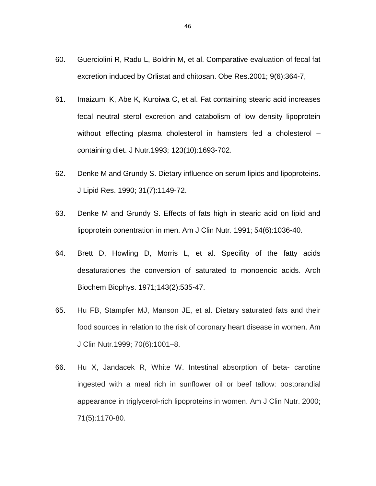- 60. Guerciolini R, Radu L, Boldrin M, et al. Comparative evaluation of fecal fat excretion induced by Orlistat and chitosan. Obe Res.2001; 9(6):364-7,
- 61. Imaizumi K, Abe K, Kuroiwa C, et al. Fat containing stearic acid increases fecal neutral sterol excretion and catabolism of low density lipoprotein without effecting plasma cholesterol in hamsters fed a cholesterol – containing diet. J Nutr.1993; 123(10):1693-702.
- 62. Denke M and Grundy S. Dietary influence on serum lipids and lipoproteins. J Lipid Res. 1990; 31(7):1149-72.
- 63. Denke M and Grundy S. Effects of fats high in stearic acid on lipid and lipoprotein conentration in men. Am J Clin Nutr. 1991; 54(6):1036-40.
- 64. Brett D, Howling D, Morris L, et al. Specifity of the fatty acids desaturationes the conversion of saturated to monoenoic acids. Arch Biochem Biophys. 1971;143(2):535-47.
- 65. Hu FB, Stampfer MJ, Manson JE, et al. Dietary saturated fats and their food sources in relation to the risk of coronary heart disease in women. Am J Clin Nutr.1999; 70(6):1001–8.
- 66. Hu X, Jandacek R, White W. Intestinal absorption of beta- carotine ingested with a meal rich in sunflower oil or beef tallow: postprandial appearance in triglycerol-rich lipoproteins in women. Am J Clin Nutr. 2000; 71(5):1170-80.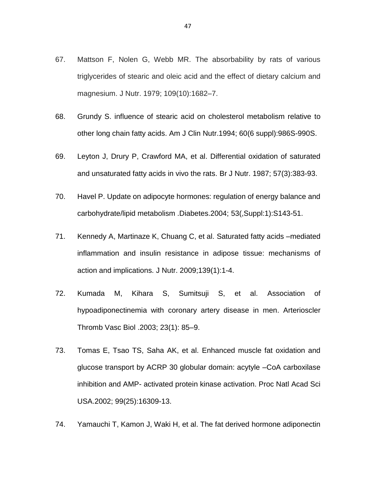- 67. Mattson F, Nolen G, Webb MR. The absorbability by rats of various triglycerides of stearic and oleic acid and the effect of dietary calcium and magnesium. J Nutr. 1979; 109(10):1682–7.
- 68. Grundy S. influence of stearic acid on cholesterol metabolism relative to other long chain fatty acids. Am J Clin Nutr.1994; 60(6 suppl):986S-990S.
- 69. Leyton J, Drury P, Crawford MA, et al. Differential oxidation of saturated and unsaturated fatty acids in vivo the rats. Br J Nutr. 1987; 57(3):383-93.
- 70. Havel P. Update on adipocyte hormones: regulation of energy balance and carbohydrate/lipid metabolism .Diabetes.2004; 53(,Suppl:1):S143-51.
- 71. Kennedy A, Martinaze K, Chuang C, et al. Saturated fatty acids –mediated inflammation and insulin resistance in adipose tissue: mechanisms of action and implications. J Nutr. 2009;139(1):1-4.
- 72. Kumada M, Kihara S, Sumitsuji S, et al. Association of hypoadiponectinemia with coronary artery disease in men. Arterioscler Thromb Vasc Biol .2003; 23(1): 85–9.
- 73. Tomas E, Tsao TS, Saha AK, et al. Enhanced muscle fat oxidation and glucose transport by ACRP 30 globular domain: acytyle –CoA carboxilase inhibition and AMP- activated protein kinase activation. Proc Natl Acad Sci USA.2002; 99(25):16309-13.
- 74. Yamauchi T, Kamon J, Waki H, et al. The fat derived hormone adiponectin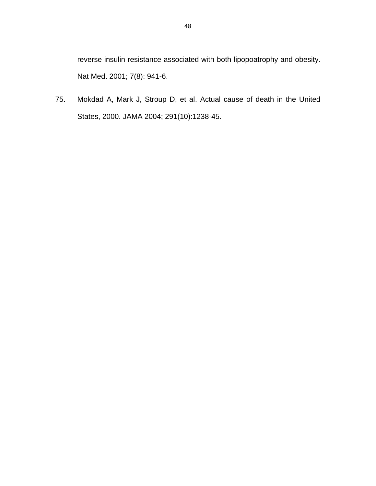reverse insulin resistance associated with both lipopoatrophy and obesity. Nat Med. 2001; 7(8): 941-6.

75. Mokdad A, Mark J, Stroup D, et al. Actual cause of death in the United States, 2000. JAMA 2004; 291(10):1238-45.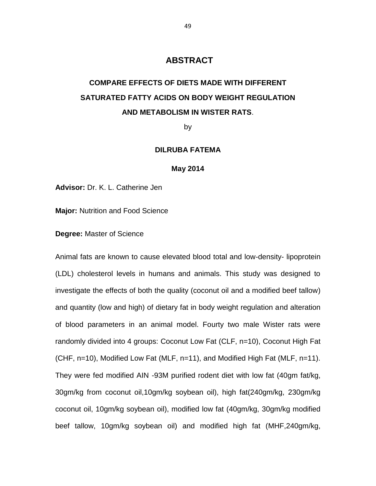## **ABSTRACT**

## **COMPARE EFFECTS OF DIETS MADE WITH DIFFERENT SATURATED FATTY ACIDS ON BODY WEIGHT REGULATION AND METABOLISM IN WISTER RATS**.

by

#### **DILRUBA FATEMA**

#### **May 2014**

**Advisor:** Dr. K. L. Catherine Jen

**Major:** Nutrition and Food Science

**Degree:** Master of Science

Animal fats are known to cause elevated blood total and low-density- lipoprotein (LDL) cholesterol levels in humans and animals. This study was designed to investigate the effects of both the quality (coconut oil and a modified beef tallow) and quantity (low and high) of dietary fat in body weight regulation and alteration of blood parameters in an animal model. Fourty two male Wister rats were randomly divided into 4 groups: Coconut Low Fat (CLF, n=10), Coconut High Fat (CHF, n=10), Modified Low Fat (MLF, n=11), and Modified High Fat (MLF, n=11). They were fed modified AIN -93M purified rodent diet with low fat (40gm fat/kg, 30gm/kg from coconut oil,10gm/kg soybean oil), high fat(240gm/kg, 230gm/kg coconut oil, 10gm/kg soybean oil), modified low fat (40gm/kg, 30gm/kg modified beef tallow, 10gm/kg soybean oil) and modified high fat (MHF,240gm/kg,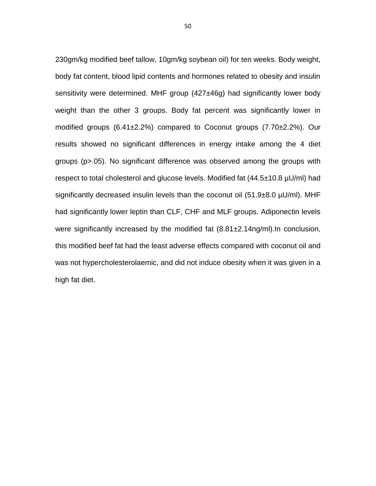230gm/kg modified beef tallow, 10gm/kg soybean oil) for ten weeks. Body weight, body fat content, blood lipid contents and hormones related to obesity and insulin sensitivity were determined. MHF group (427±46g) had significantly lower body weight than the other 3 groups. Body fat percent was significantly lower in modified groups (6.41±2.2%) compared to Coconut groups (7.70±2.2%). Our results showed no significant differences in energy intake among the 4 diet groups (p>.05). No significant difference was observed among the groups with respect to total cholesterol and glucose levels. Modified fat (44.5±10.8 µU/ml) had significantly decreased insulin levels than the coconut oil  $(51.9\pm8.0 \,\mu\text{U/ml})$ . MHF had significantly lower leptin than CLF, CHF and MLF groups. Adiponectin levels were significantly increased by the modified fat  $(8.81 \pm 2.14$ ng/ml). In conclusion, this modified beef fat had the least adverse effects compared with coconut oil and was not hypercholesterolaemic, and did not induce obesity when it was given in a high fat diet.